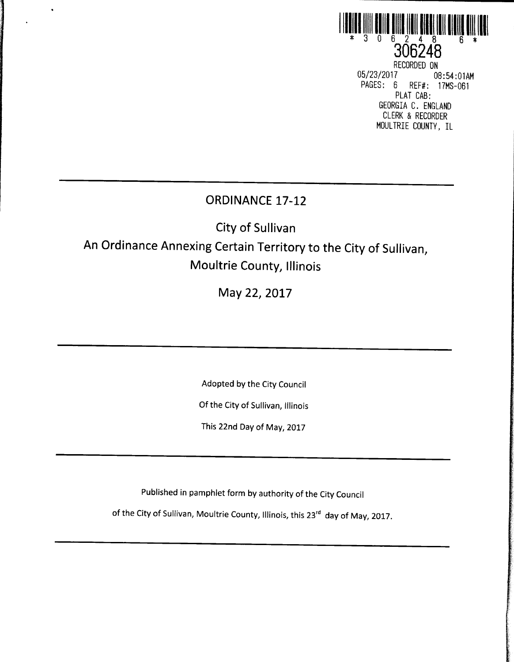

306246 RECORDED ON<br>05/23/2017 08 05/ 23/ 2017 08: 54: 01AM REF#: 17MS-061 PLAT CAB: GEORGIA C. ENGLAND CLERK & RECORDER MOULTRIE COUNTY, IL

## ORDINANCE 17-12

 $\bullet$ 

City of Sullivan

# An Ordinance Annexing Certain Territory to the City of Sullivan, Moultrie County, Illinois

May 22, 2017

Adopted by the City Council

Of the City of Sullivan, Illinois

This 22nd Day of May, 2017

Published in pamphlet form by authority of the City Council

of the City of Sullivan, Moultrie County, Illinois, this 23<sup>rd</sup> day of May, 2017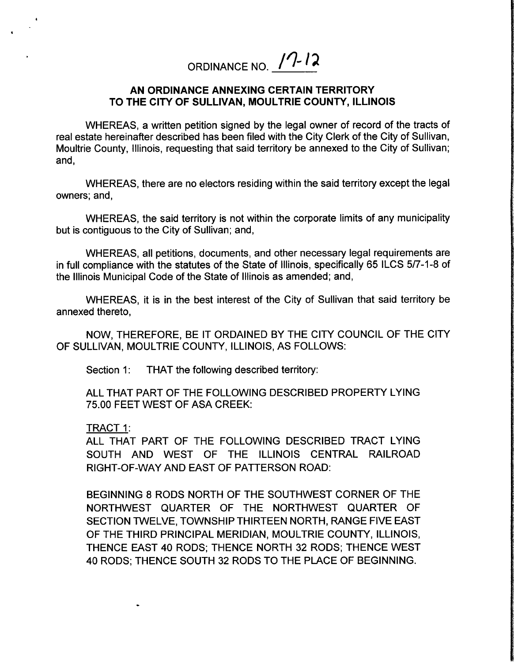ORDINANCE NO.  $\sqrt{7}$ -12

#### AN ORDINANCE ANNEXING CERTAIN TERRITORY TO THE CITY OF SULLIVAN, MOULTRIE COUNTY, ILLINOIS

WHEREAS, a written petition signed by the legal owner of record of the tracts of real estate hereinafter described has been filed with the City Clerk of the City of Sullivan, Moultrie County, Illinois, requesting that said territory be annexed to the City of Sullivan; and,

WHEREAS, there are no electors residing within the said territory except the legal owners; and,

WHEREAS, the said territory is not within the corporate limits of any municipality but is contiguous to the City of Sullivan; and,

WHEREAS, all petitions, documents, and other necessary legal requirements are in full compliance with the statutes of the State of Illinois, specifically 65 ILCS 5/7-1-8 of the Illinois Municipal Code of the State of Illinois as amended; and,

WHEREAS, it is in the best interest of the City of Sullivan that said territory be annexed thereto,

NOW, THEREFORE, BE IT ORDAINED BY THE CITY COUNCIL OF THE CITY OF SULLIVAN, MOULTRIE COUNTY, ILLINOIS, AS FOLLOWS:

Section 1: THAT the following described territory:

ALL THAT PART OF THE FOLLOWING DESCRIBED PROPERTY LYING 75.00 FEET WEST OF ASA CREEK:

#### TRACT 1:

ALL THAT PART OF THE FOLLOWING DESCRIBED TRACT LYING SOUTH AND WEST OF THE ILLINOIS CENTRAL RAILROAD RIGHT-OF-WAY AND EAST OF PATTERSON ROAD:

BEGINNING 8 RODS NORTH OF THE SOUTHWEST CORNER OF THE NORTHWEST QUARTER OF THE NORTHWEST QUARTER OF SECTION TWELVE, TOWNSHIP THIRTEEN NORTH, RANGE FIVE EAST OF THE THIRD PRINCIPAL MERIDIAN, MOULTRIE COUNTY, ILLINOIS, THENCE EAST 40 RODS; THENCE NORTH 32 RODS; THENCE WEST 40 RODS; THENCE SOUTH 32 RODS TO THE PLACE OF BEGINNING.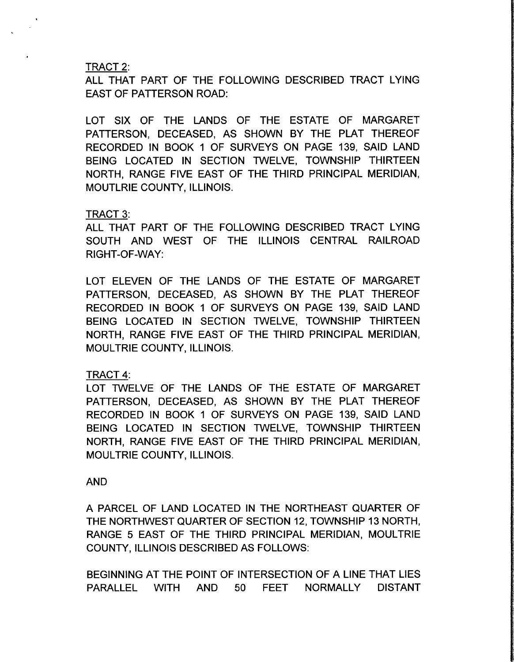#### TRACT 2:

ALL THAT PART OF THE FOLLOWING DESCRIBED TRACT LYING EAST OF PATTERSON ROAD:

LOT SIX OF THE LANDS OF THE ESTATE OF MARGARET PATTERSON, DECEASED, AS SHOWN BY THE PLAT THEREOF RECORDED IN BOOK <sup>1</sup> OF SURVEYS ON PAGE 139, SAID LAND BEING LOCATED IN SECTION TWELVE, TOWNSHIP THIRTEEN NORTH, RANGE FIVE EAST OF THE THIRD PRINCIPAL MERIDIAN, MOUTLRIE COUNTY, ILLINOIS.

#### TRACT 3:

ALL THAT PART OF THE FOLLOWING DESCRIBED TRACT LYING SOUTH AND WEST OF THE ILLINOIS CENTRAL RAILROAD RIGHT-OF-WAY:

LOT ELEVEN OF THE LANDS OF THE ESTATE OF MARGARET PATTERSON, DECEASED, AS SHOWN BY THE PLAT THEREOF RECORDED IN BOOK <sup>1</sup> OF SURVEYS ON PAGE 139, SAID LAND BEING LOCATED IN SECTION TWELVE, TOWNSHIP THIRTEEN NORTH, RANGE FIVE EAST OF THE THIRD PRINCIPAL MERIDIAN, MOULTRIE COUNTY, ILLINOIS.

#### TRACT 4:

LOT TWELVE OF THE LANDS OF THE ESTATE OF MARGARET PATTERSON, DECEASED, AS SHOWN BY THE PLAT THEREOF RECORDED IN BOOK <sup>1</sup> OF SURVEYS ON PAGE 139, SAID LAND BEING LOCATED IN SECTION TWELVE, TOWNSHIP THIRTEEN NORTH, RANGE FIVE EAST OF THE THIRD PRINCIPAL MERIDIAN, MOULTRIE COUNTY, ILLINOIS.

#### AND

A PARCEL OF LAND LOCATED IN THE NORTHEAST QUARTER OF THE NORTHWEST QUARTER OF SECTION 12, TOWNSHIP 13 NORTH, RANGE 5 EAST OF THE THIRD PRINCIPAL MERIDIAN, MOULTRIE COUNTY, ILLINOIS DESCRIBED AS FOLLOWS:

BEGINNING AT THE POINT OF INTERSECTION OF A LINE THAT LIES PARALLEL WITH AND 50 FEET NORMALLY DISTANT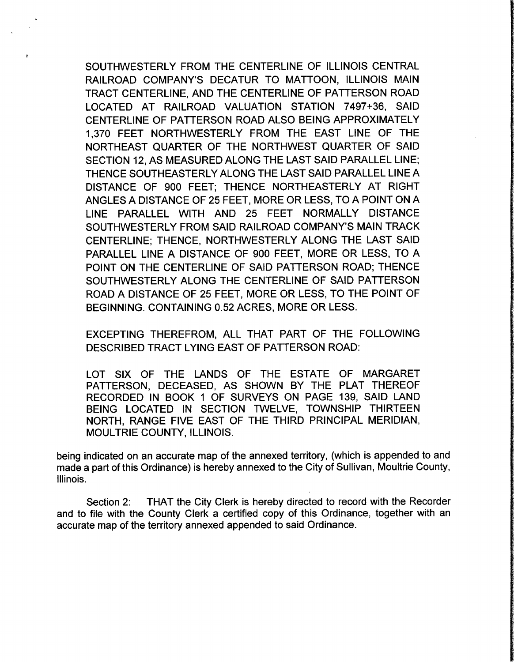SOUTHWESTERLY FROM THE CENTERLINE OF ILLINOIS CENTRAL RAILROAD COMPANY'S DECATUR TO MATTOON, ILLINOIS MAIN TRACT CENTERLINE, AND THE CENTERLINE OF PATTERSON ROAD LOCATED AT RAILROAD VALUATION STATION 7497+36, SAID CENTERLINE OF PATTERSON ROAD ALSO BEING APPROXIMATELY 1, 370 FEET NORTHWESTERLY FROM THE EAST LINE OF THE NORTHEAST QUARTER OF THE NORTHWEST QUARTER OF SAID SECTION 12, AS MEASURED ALONG THE LAST SAID PARALLEL LINE; THENCE SOUTHEASTERLY ALONG THE LAST SAID PARALLEL LINE A DISTANCE OF 900 FEET; THENCE NORTHEASTERLY AT RIGHT ANGLES A DISTANCE OF 25 FEET, MORE OR LESS, TO A POINT ON A LINE PARALLEL WITH AND 25 FEET NORMALLY DISTANCE SOUTHWESTERLY FROM SAID RAILROAD COMPANY'S MAIN TRACK CENTERLINE; THENCE, NORTHWESTERLY ALONG THE LAST SAID PARALLEL LINE A DISTANCE OF 900 FEET, MORE OR LESS, TO A POINT ON THE CENTERLINE OF SAID PATTERSON ROAD; THENCE SOUTHWESTERLY ALONG THE CENTERLINE OF SAID PATTERSON ROAD A DISTANCE OF 25 FEET, MORE OR LESS, TO THE POINT OF BEGINNING. CONTAINING 0.52 ACRES, MORE OR LESS.

EXCEPTING THEREFROM, ALL THAT PART OF THE FOLLOWING DESCRIBED TRACT LYING EAST OF PATTERSON ROAD:

LOT SIX OF THE LANDS OF THE ESTATE OF MARGARET PATTERSON, DECEASED, AS SHOWN BY THE PLAT THEREOF RECORDED IN BOOK <sup>1</sup> OF SURVEYS ON PAGE 139, SAID LAND BEING LOCATED IN SECTION TWELVE, TOWNSHIP THIRTEEN NORTH, RANGE FIVE EAST OF THE THIRD PRINCIPAL MERIDIAN, MOULTRIE COUNTY, ILLINOIS.

being indicated on an accurate map of the annexed territory, (which is appended to and made a part of this Ordinance) is hereby annexed to the City of Sullivan, Moultrie County, Illinois.

Section 2: THAT the City Clerk is hereby directed to record with the Recorder and to file with the County Clerk a certified copy of this Ordinance, together with an accurate map of the territory annexed appended to said Ordinance.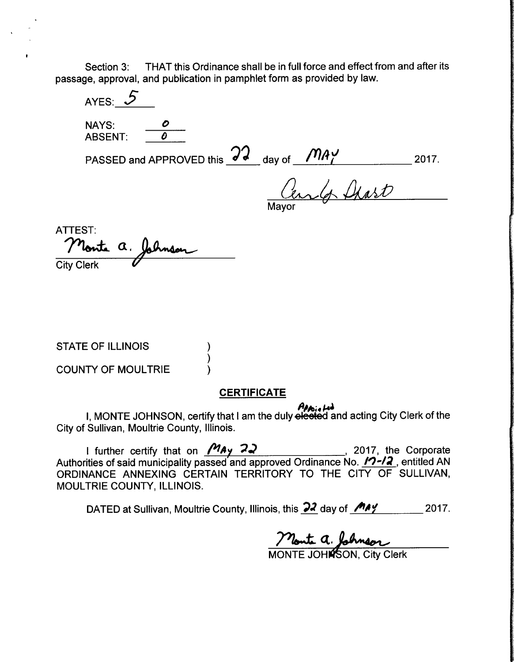Section 3: THAT this Ordinance shall be in full force and effect from and after its passage, approval, and publication in pamphlet form as provided by law.

AYES:  $5$ NAYS:  $\overline{\qquad \qquad \rho}$ <br>ARSENT:  $\overline{\qquad \qquad \theta}$ ABSENT: PASSED and APPROVED this  $\overrightarrow{d\cdot d}$  day of  $\overrightarrow{f1A}$ <u>Cen</u>

ATTEST: Monte a. Johnson **City Clerk** 

STATE OF ILLINOIS

COUNTY OF MOULTRIE

### **CERTIFICATE**

And the City Clerk of the I, MONTE JOHNSON, certify that I am the duly elected and acting City Clerk of the City of Sullivan, Moultrie County, Illinois.

I further certify that on  $\frac{M_{AY}}{22}$  , 2017, the Corporate Authorities of said municipality passed and approved Ordinance No.  $\sqrt{2/2}$ , entitled AN ORDINANCE ANNEXING CERTAIN TERRITORY TO THE CITY OF SULLIVAN, MOULTRIE COUNTY, ILLINOIS.

DATED at Sullivan, Moultrie County, Illinois, this  $\frac{22}{4}$  day of  $\frac{144}{10}$  2017.

Monte a. John MONTE JOH**Ń**SON, City Clerk